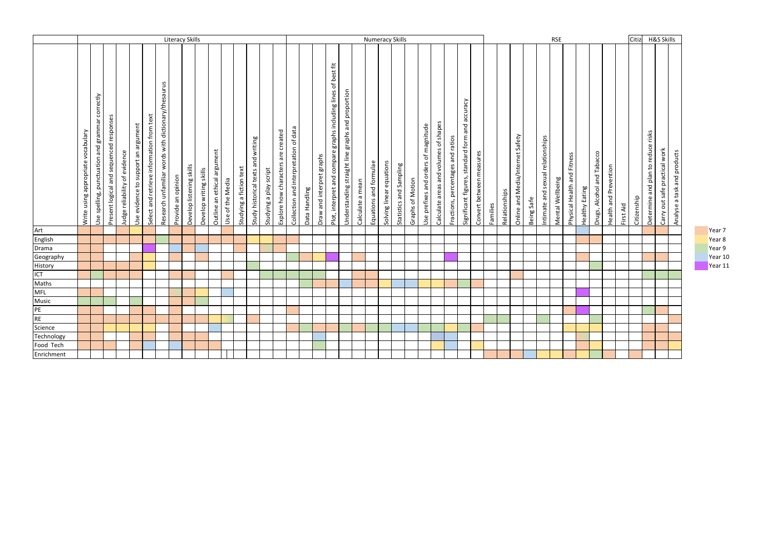|                      | <b>Literacy Skills</b>             |                                                 |                                         |                               |                                     |                                           |                                                     |                    |                          |                        |                             |                  |                         | <b>Numeracy Skills</b>             |                        |                                    |                                       |               |                           |                                                                |                                                   |                  |                        |                          |                         |                  | <b>RSE</b>                           |                                       |                                   |                                                 |                          |          |               |                                  | Citiz      | <b>H&amp;S Skills</b>             |                  |                             |                |                            |                       |           |             |                                    |                               |                             |
|----------------------|------------------------------------|-------------------------------------------------|-----------------------------------------|-------------------------------|-------------------------------------|-------------------------------------------|-----------------------------------------------------|--------------------|--------------------------|------------------------|-----------------------------|------------------|-------------------------|------------------------------------|------------------------|------------------------------------|---------------------------------------|---------------|---------------------------|----------------------------------------------------------------|---------------------------------------------------|------------------|------------------------|--------------------------|-------------------------|------------------|--------------------------------------|---------------------------------------|-----------------------------------|-------------------------------------------------|--------------------------|----------|---------------|----------------------------------|------------|-----------------------------------|------------------|-----------------------------|----------------|----------------------------|-----------------------|-----------|-------------|------------------------------------|-------------------------------|-----------------------------|
|                      | Write using appropriate vocabulary | Use spelling, punctuation and grammar correctly | Present logical and sequenced responses | Judge reliability of evidence | Use evidence to support an argument | Select and retrieve information from text | Research unfamiliar words with dictionary/thesaurus | Provide an opinion | Develop listening skills | Develop writing skills | Outline an ethical argument | Use of the Media | Studying a fiction text | Study historical texts and writing | Studying a play script | Explore how characters are created | Collection and interpretation of data | Data Handling | Draw and interpret graphs | Plot, interpret and compare graphs including lines of best fit | Understanding straight line graphs and proportion | Calculate a mean | Equations and formulae | Solving linear equations | Statistics and Sampling | Graphs of Motion | Use prefixes and orders of magnitude | Calculate areas and volumes of shapes | Fractions, percentages and ratios | Significant figures, standard form and accuracy | Convert between measures | Families | Relationships | Online and Media/Internet Safety | Being Safe | Intimate and sexual relationships | Mental Wellbeing | Physical Health and Fitness | Healthy Eating | Drugs, Alcohol and Tabacco | Health and Prevention | First Aid | Citizenship | Determine and plan to reduce risks | Carry out safe practical work | Analyse a task and products |
| Art                  |                                    |                                                 |                                         |                               |                                     |                                           |                                                     |                    |                          |                        |                             |                  |                         |                                    |                        |                                    |                                       |               |                           |                                                                |                                                   |                  |                        |                          |                         |                  |                                      |                                       |                                   |                                                 |                          |          |               |                                  |            |                                   |                  |                             |                |                            |                       |           |             |                                    |                               |                             |
| English              |                                    |                                                 |                                         |                               |                                     |                                           |                                                     |                    |                          |                        |                             |                  |                         |                                    |                        |                                    |                                       |               |                           |                                                                |                                                   |                  |                        |                          |                         |                  |                                      |                                       |                                   |                                                 |                          |          |               |                                  |            |                                   |                  |                             |                |                            |                       |           |             |                                    |                               |                             |
| Drama                |                                    |                                                 |                                         |                               |                                     |                                           |                                                     |                    |                          |                        |                             |                  |                         |                                    |                        |                                    |                                       |               |                           |                                                                |                                                   |                  |                        |                          |                         |                  |                                      |                                       |                                   |                                                 |                          |          |               |                                  |            |                                   |                  |                             |                |                            |                       |           |             |                                    |                               |                             |
| Geography<br>History |                                    |                                                 |                                         |                               |                                     |                                           |                                                     |                    |                          |                        |                             |                  |                         |                                    |                        |                                    |                                       |               |                           |                                                                |                                                   |                  |                        |                          |                         |                  |                                      |                                       |                                   |                                                 |                          |          |               |                                  |            |                                   |                  |                             |                |                            |                       |           |             |                                    |                               |                             |
|                      |                                    |                                                 |                                         |                               |                                     |                                           |                                                     |                    |                          |                        |                             |                  |                         |                                    |                        |                                    |                                       |               |                           |                                                                |                                                   |                  |                        |                          |                         |                  |                                      |                                       |                                   |                                                 |                          |          |               |                                  |            |                                   |                  |                             |                |                            |                       |           |             |                                    |                               |                             |
| <b>ICT</b><br>Maths  |                                    |                                                 |                                         |                               |                                     |                                           |                                                     |                    |                          |                        |                             |                  |                         |                                    |                        |                                    |                                       |               |                           |                                                                |                                                   |                  |                        |                          |                         |                  |                                      |                                       |                                   |                                                 |                          |          |               |                                  |            |                                   |                  |                             |                |                            |                       |           |             |                                    |                               |                             |
| <b>MFL</b>           |                                    |                                                 |                                         |                               |                                     |                                           |                                                     |                    |                          |                        |                             |                  |                         |                                    |                        |                                    |                                       |               |                           |                                                                |                                                   |                  |                        |                          |                         |                  |                                      |                                       |                                   |                                                 |                          |          |               |                                  |            |                                   |                  |                             |                |                            |                       |           |             |                                    |                               |                             |
| Music                |                                    |                                                 |                                         |                               |                                     |                                           |                                                     |                    |                          |                        |                             |                  |                         |                                    |                        |                                    |                                       |               |                           |                                                                |                                                   |                  |                        |                          |                         |                  |                                      |                                       |                                   |                                                 |                          |          |               |                                  |            |                                   |                  |                             |                |                            |                       |           |             |                                    |                               |                             |
| PE                   |                                    |                                                 |                                         |                               |                                     |                                           |                                                     |                    |                          |                        |                             |                  |                         |                                    |                        |                                    |                                       |               |                           |                                                                |                                                   |                  |                        |                          |                         |                  |                                      |                                       |                                   |                                                 |                          |          |               |                                  |            |                                   |                  |                             |                |                            |                       |           |             |                                    |                               |                             |
|                      |                                    |                                                 |                                         |                               |                                     |                                           |                                                     |                    |                          |                        |                             |                  |                         |                                    |                        |                                    |                                       |               |                           |                                                                |                                                   |                  |                        |                          |                         |                  |                                      |                                       |                                   |                                                 |                          |          |               |                                  |            |                                   |                  |                             |                |                            |                       |           |             |                                    |                               |                             |
| RE<br>Science        |                                    |                                                 |                                         |                               |                                     |                                           |                                                     |                    |                          |                        |                             |                  |                         |                                    |                        |                                    |                                       |               |                           |                                                                |                                                   |                  |                        |                          |                         |                  |                                      |                                       |                                   |                                                 |                          |          |               |                                  |            |                                   |                  |                             |                |                            |                       |           |             |                                    |                               |                             |
| Technology           |                                    |                                                 |                                         |                               |                                     |                                           |                                                     |                    |                          |                        |                             |                  |                         |                                    |                        |                                    |                                       |               |                           |                                                                |                                                   |                  |                        |                          |                         |                  |                                      |                                       |                                   |                                                 |                          |          |               |                                  |            |                                   |                  |                             |                |                            |                       |           |             |                                    |                               |                             |
| Food Tech            |                                    |                                                 |                                         |                               |                                     |                                           |                                                     |                    |                          |                        |                             |                  |                         |                                    |                        |                                    |                                       |               |                           |                                                                |                                                   |                  |                        |                          |                         |                  |                                      |                                       |                                   |                                                 |                          |          |               |                                  |            |                                   |                  |                             |                |                            |                       |           |             |                                    |                               |                             |
| Enrichment           |                                    |                                                 |                                         |                               |                                     |                                           |                                                     |                    |                          |                        |                             |                  |                         |                                    |                        |                                    |                                       |               |                           |                                                                |                                                   |                  |                        |                          |                         |                  |                                      |                                       |                                   |                                                 |                          |          |               |                                  |            |                                   |                  |                             |                |                            |                       |           |             |                                    |                               |                             |